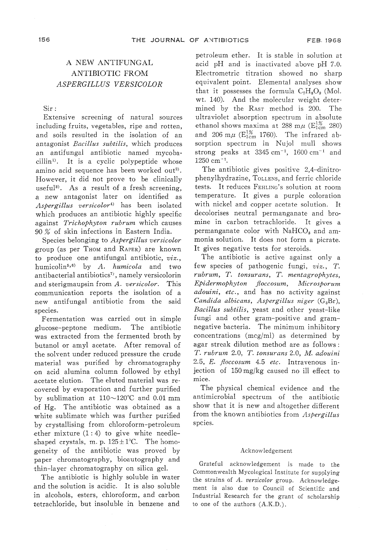## A NEW ANTIFUNGAL ANTIBIOTIC FROM ASPERGILLUS VERSICOLOR

Sir: Extensive screening of natural sources including fruits, vegetables, ripe and rotten, antagonist Bacillus subtilis, which produces an antifungal antibiotic named mycobacillin<sup>1)</sup>. It is a cyclic polypeptide whose amino acid sequence has been worked out<sup>2)</sup>.<br>However, it did not prove to be clinically useful<sup>3)</sup>. As a result of a fresh screening, a new antagonist later on identified as Aspergillus versicolor<sup>4)</sup> has been isolated which produces an antibiotic highly specific against Trichophyton rubrum which causes<br>90% of skin infections in Eastern India.

Species belonging to Aspergillus versicolor group (as per Thom and RAPER) are known to produce one antifungal antibiotic,  $viz.$ humicolin<sup>5,6)</sup> by A. humicola and two antibacterial antibiotics<sup>7)</sup>, namely versicolorin and sterigmaupsin from A. versicolor. This communication reports the isolation of a new antifungal antibiotic from the said<br>species.

Fermentation was carried out in glucose-peptone medium. glucose-peptone medium. The antibiotic butanol or amyl acetate. After removal of the solvent under reduced pressure the crude material was purified by chromatography<br>on acid alumina column followed by ethyl acetate elution. The eluted material was recovered by evaporation and further purified by sublimation at  $110\sim120^{\circ}$ C and 0.01 mm of Hg. The antibiotic was obtained as a white sublimate which was further purified by crystallising from chloroform-petroleum ether mixture  $(1:4)$  to give white needleshaped crystals, m. p.  $125 \pm 1$ °C. The homogeneity of the antibiotic was proved by<br>paper chromatography, bioautography and thin-layer chromatography on silica gel.

The antibiotic is highly soluble in water and the solution is acidic. It is also soluble in alcohols, estels, chronologin, and ca  $\frac{1}{2}$ in alcohols, esters, chloroform, and carbon in alcohols, esters, chronocom, and car<br>totrochlorido but insoluble in benzene

petroleum ether. It is stable in solution at acid pH and is inactivated above pH 7.0. acid pH and is inactivated above  $\mu$ Electrometric titration showed n equivalent point. Elemental analyses show<br>that it possesses the formula C<sub>r</sub>H<sub>2</sub>O<sub>2</sub> (Mol. wt. 140). And the molecular weight de mined by the Rast method is 200. The ultraviolet absorption spectrum in absolute ethanol shows maxima at 288 m $\mu$  (E<sub>1cm</sub> 280) and 206 m $\mu$  (E<sub>1cm</sub> 1760). The infrared absorption spectrum in Nujol mull shows<br>strong peaks at  $3345 \text{ cm}^{-1}$ ,  $1600 \text{ cm}^{-1}$  and  $1250 \text{ cm}^{-1}$ .

The antibiotic gives positive 2,4-din phenylhydrazine, TOLLENS, and ferric chloride tests. It reduces FEHLING's solution at room temperature. It gives a purple coloration with nickel and copper acetate solution. It decolorises neutral permanganate and bromine in carbon tetrachloride. It gives a permanganate color with  $NaHCO<sub>3</sub>$  and ammonia solution. It does not form a picrate. It gives negative tests for steroids.

The antibiotic is active against only a few species of pathogenic fungi, viz., T. rubrum, T. tonsurans, T. mentagrophytes, Epidermophyton floccosum, Microsporum<br>adouini, etc., and has no activity against Candida albicans, Aspergillus niger  $(G_3Br)$ , Bacillus subtilis, yeast and other yeast-like fungi and other gram-positive and gramnegative bacteria. The minimum inhibitory concentrations  $(mcg/ml)$  as determined by agar streak dilution method are as follows: T. rubrum 2.0, T. tonsurans 2.0, M. adouini 2.5, E. floccosum  $4.5$  etc. Intravenous injection of  $150 \text{ mg/kg}$  caused no ill effect to mice.  $\mu$ <sub>150</sub>mg/kg caused no ill effect to  $\mu$ <sub>150</sub>mg/kg caused no ill effect to  $\mu$ <sub>150</sub>mg/kg caused no ill effect to  $\mu$ <sub>150</sub>mg/kg caused no ill effect to  $\mu$ <sub>150</sub>mg/kg caused no ill effect to  $\mu$ <sub>150</sub>mg/kg caused no i

The physical chemical evidence a antimicrobial spectrum of the antibiotic show that it is new and altogether different  $\frac{1}{2}$  from  $\frac{1}{2}$   $\frac{1}{2}$   $\frac{1}{2}$   $\frac{1}{2}$   $\frac{1}{2}$   $\frac{1}{2}$   $\frac{1}{2}$   $\frac{1}{2}$   $\frac{1}{2}$   $\frac{1}{2}$   $\frac{1}{2}$   $\frac{1}{2}$   $\frac{1}{2}$   $\frac{1}{2}$   $\frac{1}{2}$   $\frac{1}{2}$   $\frac{1}{2}$   $\frac{1}{2}$   $\frac{1}{2}$   $\frac{1}{2}$   $\frac{1}{$ 

## Acknowledgement of the set of the set of the set of the set of the set of the set of the set of the set of the set of the set of the set of the set of the set of the set of the set of the set of the set of the set of the s

Grateful acknowledgement is made to the Commonwealth Mycological Institute for supplying the strains of A. versicolor group. Acknowledgement is also due to Council of Scientific and Industrial Research for the grant of scholarship to one of the authors  $(A.K.D.)$ .  $\mathcal{L}$  one of the authors (A.K.D.).